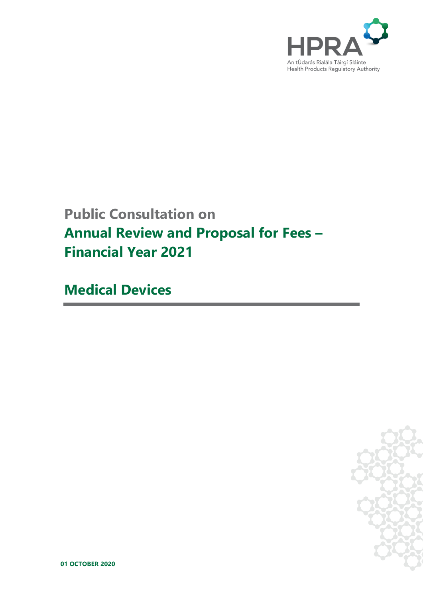

# **Public Consultation on Annual Review and Proposal for Fees – Financial Year 2021**

**Medical Devices**



**01 OCTOBER 2020**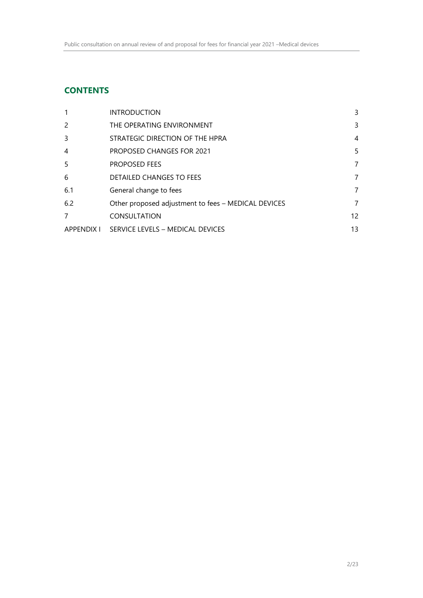## **CONTENTS**

| -1         | <b>INTRODUCTION</b>                                 | 3              |
|------------|-----------------------------------------------------|----------------|
| 2          | THE OPERATING ENVIRONMENT                           | 3              |
| 3          | STRATEGIC DIRECTION OF THE HPRA                     | 4              |
| 4          | <b>PROPOSED CHANGES FOR 2021</b>                    | 5              |
| 5          | <b>PROPOSED FEES</b>                                | 7              |
| 6          | <b>DETAILED CHANGES TO FEES</b>                     | 7              |
| 6.1        | General change to fees                              | $\overline{7}$ |
| 6.2        | Other proposed adjustment to fees - MEDICAL DEVICES | $\overline{7}$ |
| 7          | <b>CONSULTATION</b>                                 | 12             |
| APPENDIX I | SERVICE LEVELS - MEDICAL DEVICES                    | 13             |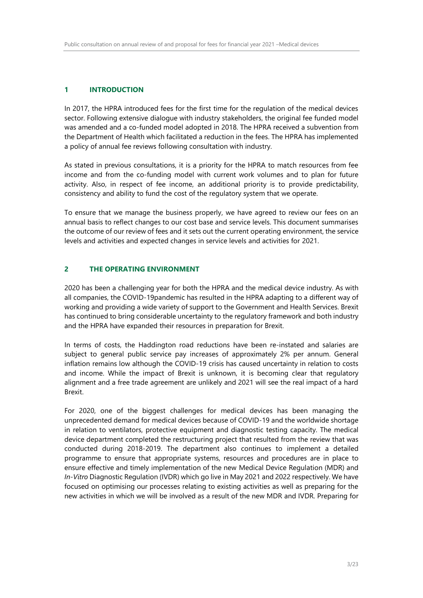## <span id="page-2-0"></span>**1 INTRODUCTION**

In 2017, the HPRA introduced fees for the first time for the regulation of the medical devices sector. Following extensive dialogue with industry stakeholders, the original fee funded model was amended and a co-funded model adopted in 2018. The HPRA received a subvention from the Department of Health which facilitated a reduction in the fees. The HPRA has implemented a policy of annual fee reviews following consultation with industry.

As stated in previous consultations, it is a priority for the HPRA to match resources from fee income and from the co-funding model with current work volumes and to plan for future activity. Also, in respect of fee income, an additional priority is to provide predictability, consistency and ability to fund the cost of the regulatory system that we operate.

To ensure that we manage the business properly, we have agreed to review our fees on an annual basis to reflect changes to our cost base and service levels. This document summarises the outcome of our review of fees and it sets out the current operating environment, the service levels and activities and expected changes in service levels and activities for 2021.

## <span id="page-2-1"></span>**2 THE OPERATING ENVIRONMENT**

2020 has been a challenging year for both the HPRA and the medical device industry. As with all companies, the COVID-19pandemic has resulted in the HPRA adapting to a different way of working and providing a wide variety of support to the Government and Health Services. Brexit has continued to bring considerable uncertainty to the regulatory framework and both industry and the HPRA have expanded their resources in preparation for Brexit.

In terms of costs, the Haddington road reductions have been re-instated and salaries are subject to general public service pay increases of approximately 2% per annum. General inflation remains low although the COVID-19 crisis has caused uncertainty in relation to costs and income. While the impact of Brexit is unknown, it is becoming clear that regulatory alignment and a free trade agreement are unlikely and 2021 will see the real impact of a hard Brexit.

For 2020, one of the biggest challenges for medical devices has been managing the unprecedented demand for medical devices because of COVID-19 and the worldwide shortage in relation to ventilators, protective equipment and diagnostic testing capacity. The medical device department completed the restructuring project that resulted from the review that was conducted during 2018-2019. The department also continues to implement a detailed programme to ensure that appropriate systems, resources and procedures are in place to ensure effective and timely implementation of the new Medical Device Regulation (MDR) and *In-Vitro* Diagnostic Regulation (IVDR) which go live in May 2021 and 2022 respectively. We have focused on optimising our processes relating to existing activities as well as preparing for the new activities in which we will be involved as a result of the new MDR and IVDR. Preparing for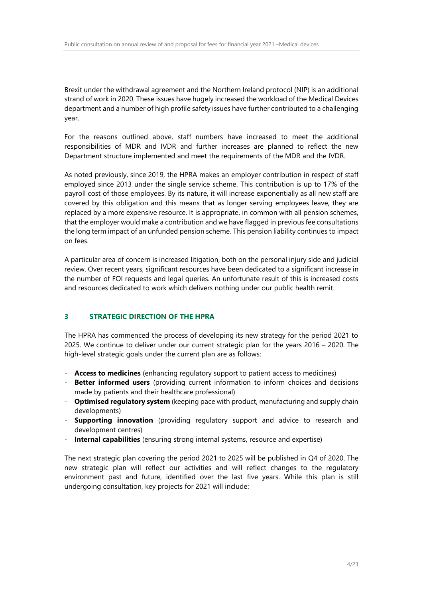Brexit under the withdrawal agreement and the Northern Ireland protocol (NIP) is an additional strand of work in 2020. These issues have hugely increased the workload of the Medical Devices department and a number of high profile safety issues have further contributed to a challenging year.

For the reasons outlined above, staff numbers have increased to meet the additional responsibilities of MDR and IVDR and further increases are planned to reflect the new Department structure implemented and meet the requirements of the MDR and the IVDR.

As noted previously, since 2019, the HPRA makes an employer contribution in respect of staff employed since 2013 under the single service scheme. This contribution is up to 17% of the payroll cost of those employees. By its nature, it will increase exponentially as all new staff are covered by this obligation and this means that as longer serving employees leave, they are replaced by a more expensive resource. It is appropriate, in common with all pension schemes, that the employer would make a contribution and we have flagged in previous fee consultations the long term impact of an unfunded pension scheme. This pension liability continues to impact on fees.

A particular area of concern is increased litigation, both on the personal injury side and judicial review. Over recent years, significant resources have been dedicated to a significant increase in the number of FOI requests and legal queries. An unfortunate result of this is increased costs and resources dedicated to work which delivers nothing under our public health remit.

## <span id="page-3-0"></span>**3 STRATEGIC DIRECTION OF THE HPRA**

The HPRA has commenced the process of developing its new strategy for the period 2021 to 2025. We continue to deliver under our current strategic plan for the years 2016 – 2020. The high-level strategic goals under the current plan are as follows:

- **Access to medicines** (enhancing regulatory support to patient access to medicines)
- **Better informed users** (providing current information to inform choices and decisions made by patients and their healthcare professional)
- **Optimised regulatory system** (keeping pace with product, manufacturing and supply chain developments)
- **Supporting innovation** (providing regulatory support and advice to research and development centres)
- **Internal capabilities** (ensuring strong internal systems, resource and expertise)

The next strategic plan covering the period 2021 to 2025 will be published in Q4 of 2020. The new strategic plan will reflect our activities and will reflect changes to the regulatory environment past and future, identified over the last five years. While this plan is still undergoing consultation, key projects for 2021 will include: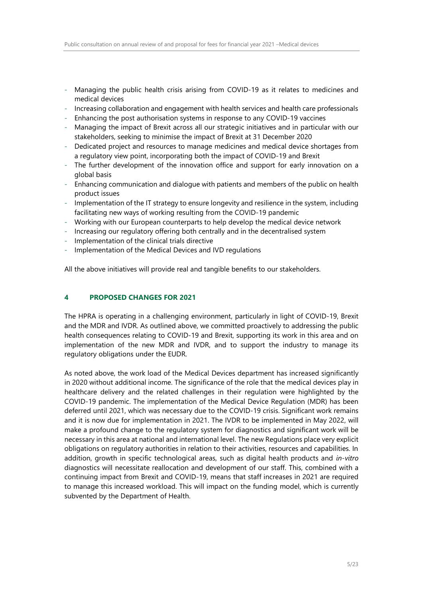- Managing the public health crisis arising from COVID-19 as it relates to medicines and medical devices
- Increasing collaboration and engagement with health services and health care professionals
- Enhancing the post authorisation systems in response to any COVID-19 vaccines
- Managing the impact of Brexit across all our strategic initiatives and in particular with our stakeholders, seeking to minimise the impact of Brexit at 31 December 2020
- Dedicated project and resources to manage medicines and medical device shortages from a regulatory view point, incorporating both the impact of COVID-19 and Brexit
- The further development of the innovation office and support for early innovation on a global basis
- Enhancing communication and dialogue with patients and members of the public on health product issues
- Implementation of the IT strategy to ensure longevity and resilience in the system, including facilitating new ways of working resulting from the COVID-19 pandemic
- Working with our European counterparts to help develop the medical device network
- Increasing our regulatory offering both centrally and in the decentralised system
- Implementation of the clinical trials directive
- Implementation of the Medical Devices and IVD regulations

All the above initiatives will provide real and tangible benefits to our stakeholders.

#### <span id="page-4-0"></span>**4 PROPOSED CHANGES FOR 2021**

The HPRA is operating in a challenging environment, particularly in light of COVID-19, Brexit and the MDR and IVDR. As outlined above, we committed proactively to addressing the public health consequences relating to COVID-19 and Brexit, supporting its work in this area and on implementation of the new MDR and IVDR, and to support the industry to manage its regulatory obligations under the EUDR.

As noted above, the work load of the Medical Devices department has increased significantly in 2020 without additional income. The significance of the role that the medical devices play in healthcare delivery and the related challenges in their regulation were highlighted by the COVID-19 pandemic. The implementation of the Medical Device Regulation (MDR) has been deferred until 2021, which was necessary due to the COVID-19 crisis. Significant work remains and it is now due for implementation in 2021. The IVDR to be implemented in May 2022, will make a profound change to the regulatory system for diagnostics and significant work will be necessary in this area at national and international level. The new Regulations place very explicit obligations on regulatory authorities in relation to their activities, resources and capabilities. In addition, growth in specific technological areas, such as digital health products and *in-vitro* diagnostics will necessitate reallocation and development of our staff. This, combined with a continuing impact from Brexit and COVID-19, means that staff increases in 2021 are required to manage this increased workload. This will impact on the funding model, which is currently subvented by the Department of Health.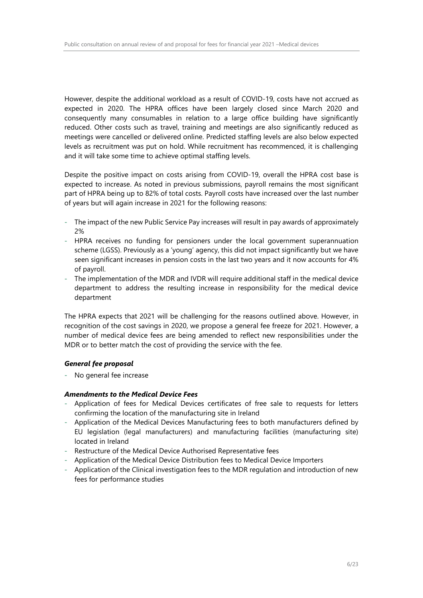However, despite the additional workload as a result of COVID-19, costs have not accrued as expected in 2020. The HPRA offices have been largely closed since March 2020 and consequently many consumables in relation to a large office building have significantly reduced. Other costs such as travel, training and meetings are also significantly reduced as meetings were cancelled or delivered online. Predicted staffing levels are also below expected levels as recruitment was put on hold. While recruitment has recommenced, it is challenging and it will take some time to achieve optimal staffing levels.

Despite the positive impact on costs arising from COVID-19, overall the HPRA cost base is expected to increase. As noted in previous submissions, payroll remains the most significant part of HPRA being up to 82% of total costs. Payroll costs have increased over the last number of years but will again increase in 2021 for the following reasons:

- The impact of the new Public Service Pay increases will result in pay awards of approximately 2%
- HPRA receives no funding for pensioners under the local government superannuation scheme (LGSS). Previously as a 'young' agency, this did not impact significantly but we have seen significant increases in pension costs in the last two years and it now accounts for 4% of payroll.
- The implementation of the MDR and IVDR will require additional staff in the medical device department to address the resulting increase in responsibility for the medical device department

The HPRA expects that 2021 will be challenging for the reasons outlined above. However, in recognition of the cost savings in 2020, we propose a general fee freeze for 2021. However, a number of medical device fees are being amended to reflect new responsibilities under the MDR or to better match the cost of providing the service with the fee.

#### *General fee proposal*

- No general fee increase

#### *Amendments to the Medical Device Fees*

- Application of fees for Medical Devices certificates of free sale to requests for letters confirming the location of the manufacturing site in Ireland
- Application of the Medical Devices Manufacturing fees to both manufacturers defined by EU legislation (legal manufacturers) and manufacturing facilities (manufacturing site) located in Ireland
- Restructure of the Medical Device Authorised Representative fees
- Application of the Medical Device Distribution fees to Medical Device Importers
- Application of the Clinical investigation fees to the MDR regulation and introduction of new fees for performance studies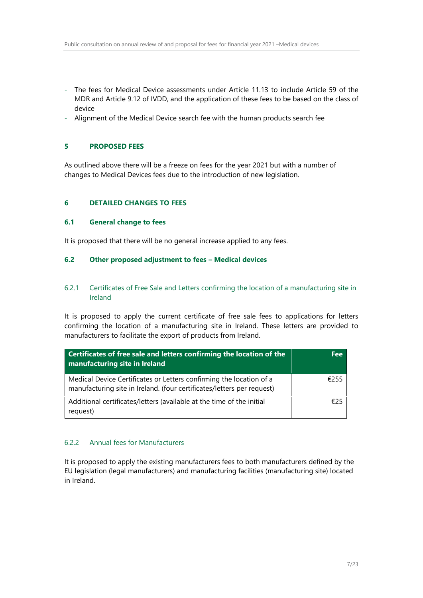- The fees for Medical Device assessments under Article 11.13 to include Article 59 of the MDR and Article 9.12 of IVDD, and the application of these fees to be based on the class of device
- Alignment of the Medical Device search fee with the human products search fee

## <span id="page-6-0"></span>**5 PROPOSED FEES**

As outlined above there will be a freeze on fees for the year 2021 but with a number of changes to Medical Devices fees due to the introduction of new legislation.

## <span id="page-6-1"></span>**6 DETAILED CHANGES TO FEES**

#### <span id="page-6-2"></span>**6.1 General change to fees**

It is proposed that there will be no general increase applied to any fees.

#### <span id="page-6-3"></span>**6.2 Other proposed adjustment to fees – Medical devices**

#### 6.2.1 Certificates of Free Sale and Letters confirming the location of a manufacturing site in Ireland

It is proposed to apply the current certificate of free sale fees to applications for letters confirming the location of a manufacturing site in Ireland. These letters are provided to manufacturers to facilitate the export of products from Ireland.

| Certificates of free sale and letters confirming the location of the<br>manufacturing site in Ireland                                         | <b>Fee</b> |
|-----------------------------------------------------------------------------------------------------------------------------------------------|------------|
| Medical Device Certificates or Letters confirming the location of a<br>manufacturing site in Ireland. (four certificates/letters per request) | £255       |
| Additional certificates/letters (available at the time of the initial<br>request)                                                             | €25        |

#### 6.2.2 Annual fees for Manufacturers

It is proposed to apply the existing manufacturers fees to both manufacturers defined by the EU legislation (legal manufacturers) and manufacturing facilities (manufacturing site) located in Ireland.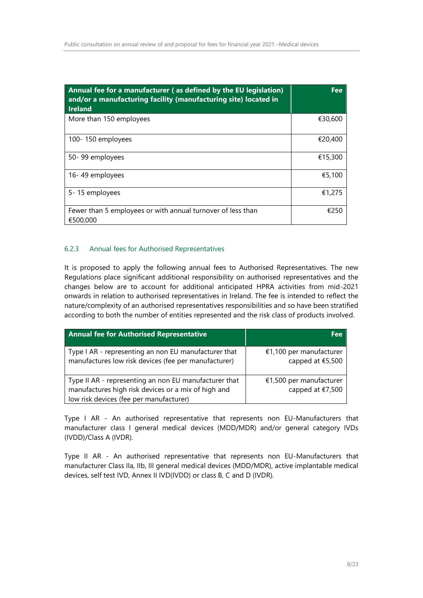| Annual fee for a manufacturer (as defined by the EU legislation)<br>and/or a manufacturing facility (manufacturing site) located in<br><b>Ireland</b> | <b>Fee</b> |
|-------------------------------------------------------------------------------------------------------------------------------------------------------|------------|
| More than 150 employees                                                                                                                               | €30,600    |
| 100-150 employees                                                                                                                                     | €20,400    |
| 50-99 employees                                                                                                                                       | €15,300    |
| 16-49 employees                                                                                                                                       | €5,100     |
| 5-15 employees                                                                                                                                        | €1,275     |
| Fewer than 5 employees or with annual turnover of less than<br>€500,000                                                                               | €250       |

## 6.2.3 Annual fees for Authorised Representatives

It is proposed to apply the following annual fees to Authorised Representatives. The new Regulations place significant additional responsibility on authorised representatives and the changes below are to account for additional anticipated HPRA activities from mid-2021 onwards in relation to authorised representatives in Ireland. The fee is intended to reflect the nature/complexity of an authorised representatives responsibilities and so have been stratified according to both the number of entities represented and the risk class of products involved.

| <b>Annual fee for Authorised Representative</b>                                                                                                         | Fee                                         |
|---------------------------------------------------------------------------------------------------------------------------------------------------------|---------------------------------------------|
| Type I AR - representing an non EU manufacturer that<br>manufactures low risk devices (fee per manufacturer)                                            | €1,100 per manufacturer<br>capped at €5,500 |
| Type II AR - representing an non EU manufacturer that<br>manufactures high risk devices or a mix of high and<br>low risk devices (fee per manufacturer) | €1,500 per manufacturer<br>capped at €7,500 |

Type I AR - An authorised representative that represents non EU-Manufacturers that manufacturer class I general medical devices (MDD/MDR) and/or general category IVDs (IVDD)/Class A (IVDR).

Type II AR - An authorised representative that represents non EU-Manufacturers that manufacturer Class IIa, IIb, III general medical devices (MDD/MDR), active implantable medical devices, self test IVD, Annex II IVD(IVDD) or class B, C and D (IVDR).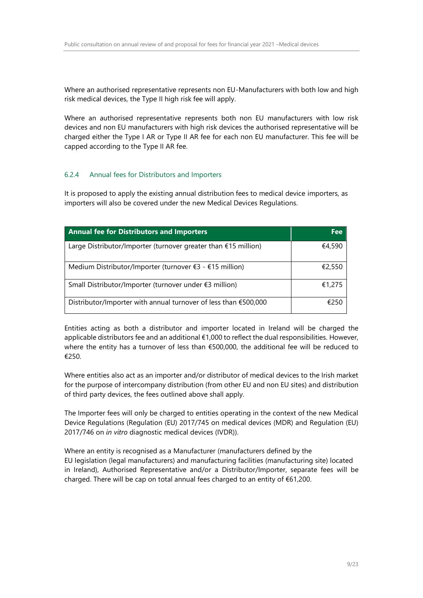Where an authorised representative represents non EU-Manufacturers with both low and high risk medical devices, the Type II high risk fee will apply.

Where an authorised representative represents both non EU manufacturers with low risk devices and non EU manufacturers with high risk devices the authorised representative will be charged either the Type I AR or Type II AR fee for each non EU manufacturer. This fee will be capped according to the Type II AR fee.

## 6.2.4 Annual fees for Distributors and Importers

It is proposed to apply the existing annual distribution fees to medical device importers, as importers will also be covered under the new Medical Devices Regulations.

| <b>Annual fee for Distributors and Importers</b>                 | Fee    |
|------------------------------------------------------------------|--------|
| Large Distributor/Importer (turnover greater than $£15$ million) | €4,590 |
| Medium Distributor/Importer (turnover €3 - €15 million)          | €2,550 |
| Small Distributor/Importer (turnover under €3 million)           | €1,275 |
| Distributor/Importer with annual turnover of less than €500,000  | €250   |

Entities acting as both a distributor and importer located in Ireland will be charged the applicable distributors fee and an additional €1,000 to reflect the dual responsibilities. However, where the entity has a turnover of less than  $\epsilon$ 500,000, the additional fee will be reduced to €250.

Where entities also act as an importer and/or distributor of medical devices to the Irish market for the purpose of intercompany distribution (from other EU and non EU sites) and distribution of third party devices, the fees outlined above shall apply.

The Importer fees will only be charged to entities operating in the context of the new Medical Device Regulations (Regulation (EU) 2017/745 on medical devices (MDR) and Regulation (EU) 2017/746 on *in vitro* diagnostic medical devices (IVDR)).

Where an entity is recognised as a Manufacturer (manufacturers defined by the EU legislation (legal manufacturers) and manufacturing facilities (manufacturing site) located in Ireland), Authorised Representative and/or a Distributor/Importer, separate fees will be charged. There will be cap on total annual fees charged to an entity of €61,200.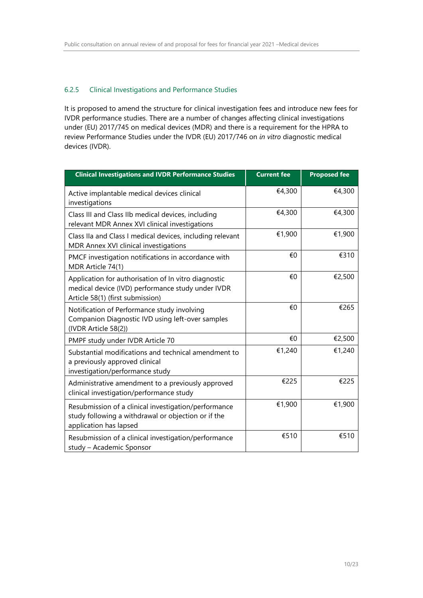## 6.2.5 Clinical Investigations and Performance Studies

It is proposed to amend the structure for clinical investigation fees and introduce new fees for IVDR performance studies. There are a number of changes affecting clinical investigations under (EU) 2017/745 on medical devices (MDR) and there is a requirement for the HPRA to review Performance Studies under the IVDR (EU) 2017/746 on *in vitro* diagnostic medical devices (IVDR).

| <b>Clinical Investigations and IVDR Performance Studies</b>                                                                                   | <b>Current fee</b> | <b>Proposed fee</b> |
|-----------------------------------------------------------------------------------------------------------------------------------------------|--------------------|---------------------|
| Active implantable medical devices clinical<br>investigations                                                                                 | €4,300             | €4,300              |
| Class III and Class IIb medical devices, including<br>relevant MDR Annex XVI clinical investigations                                          | €4,300             | €4,300              |
| Class IIa and Class I medical devices, including relevant<br>MDR Annex XVI clinical investigations                                            | €1,900             | €1,900              |
| PMCF investigation notifications in accordance with<br>MDR Article 74(1)                                                                      | €0                 | €310                |
| Application for authorisation of In vitro diagnostic<br>medical device (IVD) performance study under IVDR<br>Article 58(1) (first submission) | €0                 | €2,500              |
| Notification of Performance study involving<br>Companion Diagnostic IVD using left-over samples<br>(IVDR Article 58(2))                       | €0                 | €265                |
| PMPF study under IVDR Article 70                                                                                                              | €0                 | €2,500              |
| Substantial modifications and technical amendment to<br>a previously approved clinical<br>investigation/performance study                     | €1,240             | €1,240              |
| Administrative amendment to a previously approved<br>clinical investigation/performance study                                                 | €225               | €225                |
| Resubmission of a clinical investigation/performance<br>study following a withdrawal or objection or if the<br>application has lapsed         | €1,900             | €1,900              |
| Resubmission of a clinical investigation/performance<br>study - Academic Sponsor                                                              | €510               | €510                |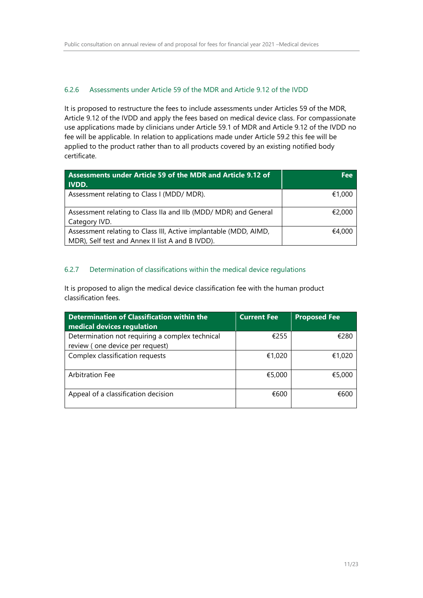## 6.2.6 Assessments under Article 59 of the MDR and Article 9.12 of the IVDD

It is proposed to restructure the fees to include assessments under Articles 59 of the MDR, Article 9.12 of the IVDD and apply the fees based on medical device class. For compassionate use applications made by clinicians under Article 59.1 of MDR and Article 9.12 of the IVDD no fee will be applicable. In relation to applications made under Article 59.2 this fee will be applied to the product rather than to all products covered by an existing notified body certificate.

| Assessments under Article 59 of the MDR and Article 9.12 of<br><b>IVDD.</b>                                          | Fee    |
|----------------------------------------------------------------------------------------------------------------------|--------|
| Assessment relating to Class I (MDD/ MDR).                                                                           | €1.000 |
| Assessment relating to Class IIa and IIb (MDD/ MDR) and General<br>Category IVD.                                     | €2,000 |
| Assessment relating to Class III, Active implantable (MDD, AIMD,<br>MDR), Self test and Annex II list A and B IVDD). | €4.000 |

## 6.2.7 Determination of classifications within the medical device regulations

It is proposed to align the medical device classification fee with the human product classification fees.

| Determination of Classification within the<br>medical devices regulation           | <b>Current Fee</b> | <b>Proposed Fee</b> |
|------------------------------------------------------------------------------------|--------------------|---------------------|
| Determination not requiring a complex technical<br>review (one device per request) | €255               | €280                |
| Complex classification requests                                                    | €1,020             | €1,020              |
| Arbitration Fee                                                                    | €5,000             | €5,000              |
| Appeal of a classification decision                                                | €600               | €600                |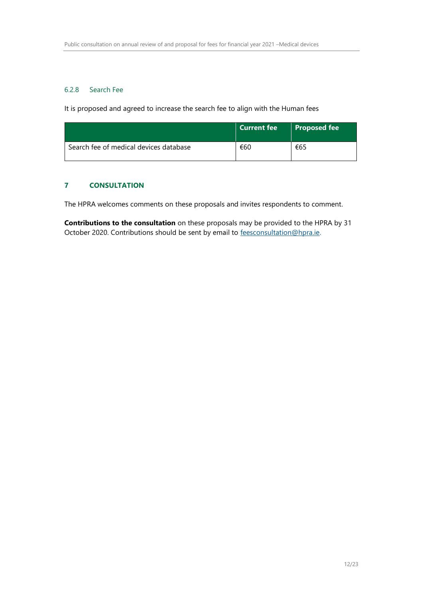## 6.2.8 Search Fee

It is proposed and agreed to increase the search fee to align with the Human fees

|                                        | <b>Current fee</b> | Proposed fee |
|----------------------------------------|--------------------|--------------|
| Search fee of medical devices database | €60                | €65          |

## <span id="page-11-0"></span>**7 CONSULTATION**

The HPRA welcomes comments on these proposals and invites respondents to comment.

<span id="page-11-1"></span>**Contributions to the consultation** on these proposals may be provided to the HPRA by 31 October 2020. Contributions should be sent by email to [feesconsultation@hpra.ie.](mailto:feesconsultation@hpra.ie)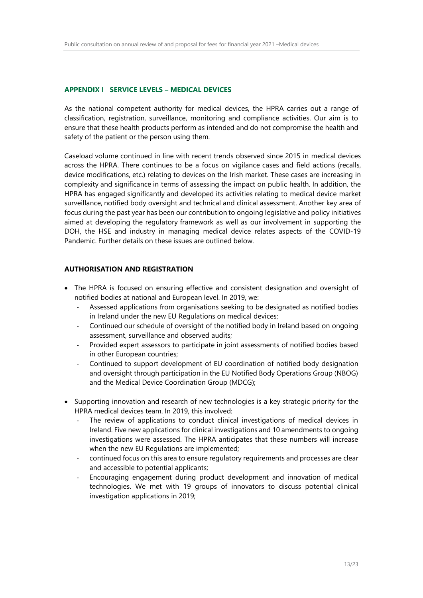#### **APPENDIX I SERVICE LEVELS – MEDICAL DEVICES**

As the national competent authority for medical devices, the HPRA carries out a range of classification, registration, surveillance, monitoring and compliance activities. Our aim is to ensure that these health products perform as intended and do not compromise the health and safety of the patient or the person using them.

Caseload volume continued in line with recent trends observed since 2015 in medical devices across the HPRA. There continues to be a focus on vigilance cases and field actions (recalls, device modifications, etc.) relating to devices on the Irish market. These cases are increasing in complexity and significance in terms of assessing the impact on public health. In addition, the HPRA has engaged significantly and developed its activities relating to medical device market surveillance, notified body oversight and technical and clinical assessment. Another key area of focus during the past year has been our contribution to ongoing legislative and policy initiatives aimed at developing the regulatory framework as well as our involvement in supporting the DOH, the HSE and industry in managing medical device relates aspects of the COVID-19 Pandemic. Further details on these issues are outlined below.

#### **AUTHORISATION AND REGISTRATION**

- The HPRA is focused on ensuring effective and consistent designation and oversight of notified bodies at national and European level. In 2019, we:
	- Assessed applications from organisations seeking to be designated as notified bodies in Ireland under the new EU Regulations on medical devices;
	- Continued our schedule of oversight of the notified body in Ireland based on ongoing assessment, surveillance and observed audits;
	- Provided expert assessors to participate in joint assessments of notified bodies based in other European countries;
	- Continued to support development of EU coordination of notified body designation and oversight through participation in the EU Notified Body Operations Group (NBOG) and the Medical Device Coordination Group (MDCG);
- Supporting innovation and research of new technologies is a key strategic priority for the HPRA medical devices team. In 2019, this involved:
	- The review of applications to conduct clinical investigations of medical devices in Ireland. Five new applications for clinical investigations and 10 amendments to ongoing investigations were assessed. The HPRA anticipates that these numbers will increase when the new EU Regulations are implemented;
	- continued focus on this area to ensure regulatory requirements and processes are clear and accessible to potential applicants;
	- Encouraging engagement during product development and innovation of medical technologies. We met with 19 groups of innovators to discuss potential clinical investigation applications in 2019;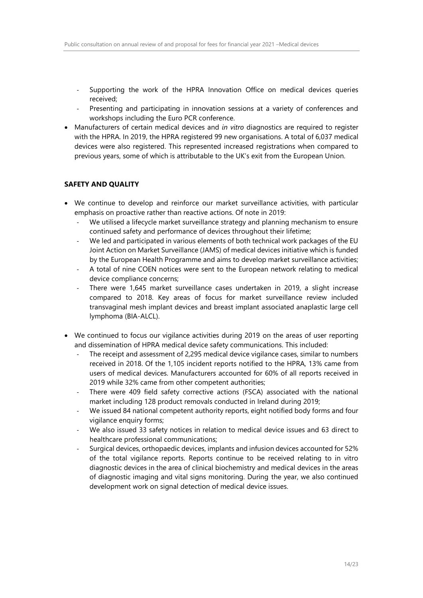- Supporting the work of the HPRA Innovation Office on medical devices queries received;
- Presenting and participating in innovation sessions at a variety of conferences and workshops including the Euro PCR conference.
- Manufacturers of certain medical devices and *in vitro* diagnostics are required to register with the HPRA. In 2019, the HPRA registered 99 new organisations. A total of 6,037 medical devices were also registered. This represented increased registrations when compared to previous years, some of which is attributable to the UK's exit from the European Union.

## **SAFETY AND QUALITY**

- We continue to develop and reinforce our market surveillance activities, with particular emphasis on proactive rather than reactive actions. Of note in 2019:
	- We utilised a lifecycle market surveillance strategy and planning mechanism to ensure continued safety and performance of devices throughout their lifetime;
	- We led and participated in various elements of both technical work packages of the EU Joint Action on Market Surveillance (JAMS) of medical devices initiative which is funded by the European Health Programme and aims to develop market surveillance activities;
	- A total of nine COEN notices were sent to the European network relating to medical device compliance concerns;
	- There were 1,645 market surveillance cases undertaken in 2019, a slight increase compared to 2018. Key areas of focus for market surveillance review included transvaginal mesh implant devices and breast implant associated anaplastic large cell lymphoma (BIA-ALCL).
- We continued to focus our vigilance activities during 2019 on the areas of user reporting and dissemination of HPRA medical device safety communications. This included:
	- The receipt and assessment of 2,295 medical device vigilance cases, similar to numbers received in 2018. Of the 1,105 incident reports notified to the HPRA, 13% came from users of medical devices. Manufacturers accounted for 60% of all reports received in 2019 while 32% came from other competent authorities;
	- There were 409 field safety corrective actions (FSCA) associated with the national market including 128 product removals conducted in Ireland during 2019;
	- We issued 84 national competent authority reports, eight notified body forms and four vigilance enquiry forms;
	- We also issued 33 safety notices in relation to medical device issues and 63 direct to healthcare professional communications;
	- Surgical devices, orthopaedic devices, implants and infusion devices accounted for 52% of the total vigilance reports. Reports continue to be received relating to in vitro diagnostic devices in the area of clinical biochemistry and medical devices in the areas of diagnostic imaging and vital signs monitoring. During the year, we also continued development work on signal detection of medical device issues.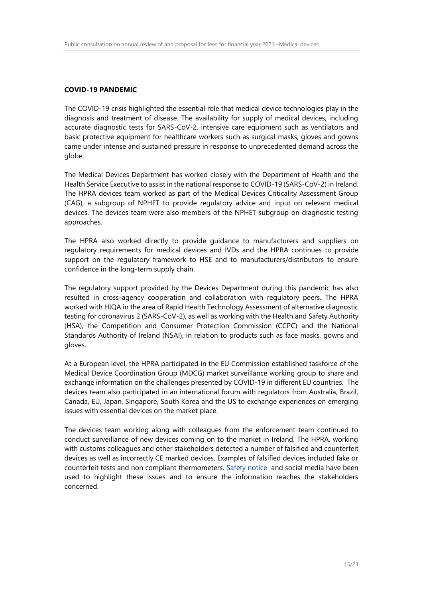#### **COVID-19 PANDEMIC**

The COVID-19 crisis highlighted the essential role that medical device technologies play in the diagnosis and treatment of disease. The availability for supply of medical devices, including accurate diagnostic tests for SARS-CoV-2, intensive care equipment such as ventilators and basic protective equipment for healthcare workers such as surgical masks, gloves and gowns came under intense and sustained pressure in response to unprecedented demand across the globe.

The Medical Devices Department has worked closely with the Department of Health and the Health Service Executive to assist in the national response to COVID-19 (SARS-CoV-2) in Ireland. The HPRA devices team worked as part of the Medical Devices Criticality Assessment Group (CAG), a subgroup of NPHET to provide regulatory advice and input on relevant medical devices. The devices team were also members of the NPHET subgroup on diagnostic testing approaches.

The HPRA also worked directly to provide guidance to manufacturers and suppliers on regulatory requirements for medical devices and IVDs and the HPRA continues to provide support on the regulatory framework to HSE and to manufacturers/distributors to ensure confidence in the long-term supply chain.

The regulatory support provided by the Devices Department during this pandemic has also resulted in cross-agency cooperation and collaboration with regulatory peers. The HPRA worked with HIQA in the area of Rapid Health Technology Assessment of alternative diagnostic testing for coronavirus 2 (SARS-CoV-2), as well as working with the Health and Safety Authority (HSA), the Competition and Consumer Protection Commission (CCPC) and the National Standards Authority of Ireland (NSAI), in relation to products such as face masks, gowns and gloves.

At a European level, the HPRA participated in the EU Commission established taskforce of the Medical Device Coordination Group (MDCG) market surveillance working group to share and exchange information on the challenges presented by COVID-19 in different EU countries. The devices team also participated in an international forum with regulators from Australia, Brazil, Canada, EU, Japan, Singapore, South Korea and the US to exchange experiences on emerging issues with essential devices on the market place.

The devices team working along with colleagues from the enforcement team continued to conduct surveillance of new devices coming on to the market in Ireland. The HPRA, working with customs colleagues and other stakeholders detected a number of falsified and counterfeit devices as well as incorrectly CE marked devices. Examples of falsified devices included fake or counterfeit tests and non compliant thermometers. [Safety notice](https://www.hpra.ie/docs/default-source/Safety-Notices/in202003_6_purchaseofthermometers_rev2.pdf?sfvrsn=2) and social media have been used to highlight these issues and to ensure the information reaches the stakeholders concerned.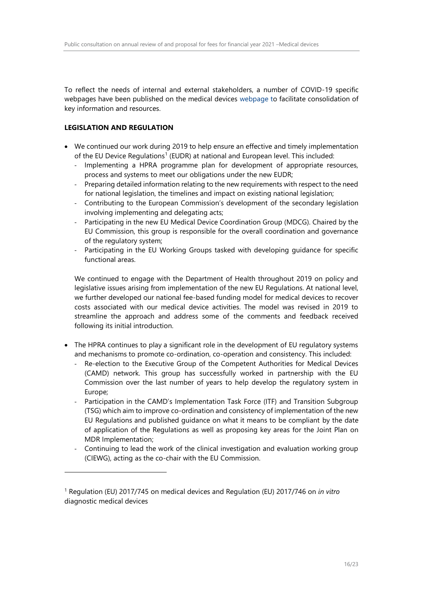To reflect the needs of internal and external stakeholders, a number of COVID-19 specific webpages have been published on the medical devices [webpage](https://www.hpra.ie/homepage/medical-devices/covid-19-updates) to facilitate consolidation of key information and resources.

## **LEGISLATION AND REGULATION**

 $\overline{a}$ 

- We continued our work during 2019 to help ensure an effective and timely implementation of the EU Device Regulations<sup>1</sup> (EUDR) at national and European level. This included:
	- Implementing a HPRA programme plan for development of appropriate resources, process and systems to meet our obligations under the new EUDR;
	- Preparing detailed information relating to the new requirements with respect to the need for national legislation, the timelines and impact on existing national legislation;
	- Contributing to the European Commission's development of the secondary legislation involving implementing and delegating acts;
	- Participating in the new EU Medical Device Coordination Group (MDCG). Chaired by the EU Commission, this group is responsible for the overall coordination and governance of the regulatory system;
	- Participating in the EU Working Groups tasked with developing guidance for specific functional areas.

We continued to engage with the Department of Health throughout 2019 on policy and legislative issues arising from implementation of the new EU Regulations. At national level, we further developed our national fee-based funding model for medical devices to recover costs associated with our medical device activities. The model was revised in 2019 to streamline the approach and address some of the comments and feedback received following its initial introduction.

- The HPRA continues to play a significant role in the development of EU regulatory systems and mechanisms to promote co-ordination, co-operation and consistency. This included:
	- Re-election to the Executive Group of the Competent Authorities for Medical Devices (CAMD) network. This group has successfully worked in partnership with the EU Commission over the last number of years to help develop the regulatory system in Europe;
	- Participation in the CAMD's Implementation Task Force (ITF) and Transition Subgroup (TSG) which aim to improve co-ordination and consistency of implementation of the new EU Regulations and published guidance on what it means to be compliant by the date of application of the Regulations as well as proposing key areas for the Joint Plan on MDR Implementation;
	- Continuing to lead the work of the clinical investigation and evaluation working group (CIEWG), acting as the co-chair with the EU Commission.

<sup>1</sup> Regulation (EU) 2017/745 on medical devices and Regulation (EU) 2017/746 on *in vitro* diagnostic medical devices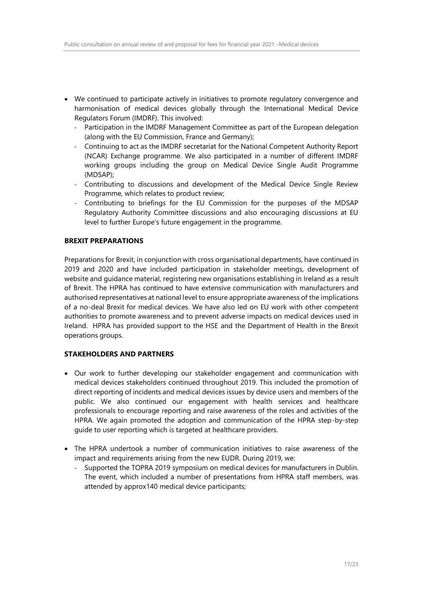- We continued to participate actively in initiatives to promote regulatory convergence and harmonisation of medical devices globally through the International Medical Device Regulators Forum (IMDRF). This involved:
	- Participation in the IMDRF Management Committee as part of the European delegation (along with the EU Commission, France and Germany);
	- Continuing to act as the IMDRF secretariat for the National Competent Authority Report (NCAR) Exchange programme. We also participated in a number of different IMDRF working groups including the group on Medical Device Single Audit Programme (MDSAP);
	- Contributing to discussions and development of the Medical Device Single Review Programme, which relates to product review;
	- Contributing to briefings for the EU Commission for the purposes of the MDSAP Regulatory Authority Committee discussions and also encouraging discussions at EU level to further Europe's future engagement in the programme.

#### **BREXIT PREPARATIONS**

Preparations for Brexit, in conjunction with cross organisational departments, have continued in 2019 and 2020 and have included participation in stakeholder meetings, development of website and guidance material, registering new organisations establishing in Ireland as a result of Brexit. The HPRA has continued to have extensive communication with manufacturers and authorised representatives at national level to ensure appropriate awareness of the implications of a no-deal Brexit for medical devices. We have also led on EU work with other competent authorities to promote awareness and to prevent adverse impacts on medical devices used in Ireland. HPRA has provided support to the HSE and the Department of Health in the Brexit operations groups.

## **STAKEHOLDERS AND PARTNERS**

- Our work to further developing our stakeholder engagement and communication with medical devices stakeholders continued throughout 2019. This included the promotion of direct reporting of incidents and medical devices issues by device users and members of the public. We also continued our engagement with health services and healthcare professionals to encourage reporting and raise awareness of the roles and activities of the HPRA. We again promoted the adoption and communication of the HPRA step-by-step guide to user reporting which is targeted at healthcare providers.
- The HPRA undertook a number of communication initiatives to raise awareness of the impact and requirements arising from the new EUDR. During 2019, we:
	- Supported the TOPRA 2019 symposium on medical devices for manufacturers in Dublin. The event, which included a number of presentations from HPRA staff members, was attended by approx140 medical device participants;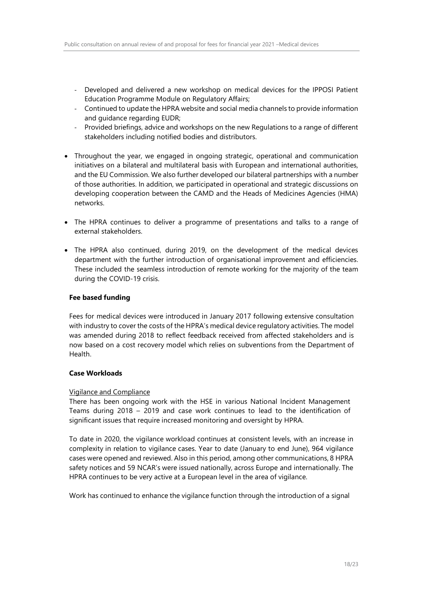- Developed and delivered a new workshop on medical devices for the IPPOSI Patient Education Programme Module on Regulatory Affairs;
- Continued to update the HPRA website and social media channels to provide information and guidance regarding EUDR;
- Provided briefings, advice and workshops on the new Regulations to a range of different stakeholders including notified bodies and distributors.
- Throughout the year, we engaged in ongoing strategic, operational and communication initiatives on a bilateral and multilateral basis with European and international authorities, and the EU Commission. We also further developed our bilateral partnerships with a number of those authorities. In addition, we participated in operational and strategic discussions on developing cooperation between the CAMD and the Heads of Medicines Agencies (HMA) networks.
- The HPRA continues to deliver a programme of presentations and talks to a range of external stakeholders.
- The HPRA also continued, during 2019, on the development of the medical devices department with the further introduction of organisational improvement and efficiencies. These included the seamless introduction of remote working for the majority of the team during the COVID-19 crisis.

### **Fee based funding**

Fees for medical devices were introduced in January 2017 following extensive consultation with industry to cover the costs of the HPRA's medical device regulatory activities. The model was amended during 2018 to reflect feedback received from affected stakeholders and is now based on a cost recovery model which relies on subventions from the Department of Health.

#### **Case Workloads**

#### Vigilance and Compliance

There has been ongoing work with the HSE in various National Incident Management Teams during 2018 – 2019 and case work continues to lead to the identification of significant issues that require increased monitoring and oversight by HPRA.

To date in 2020, the vigilance workload continues at consistent levels, with an increase in complexity in relation to vigilance cases. Year to date (January to end June), 964 vigilance cases were opened and reviewed. Also in this period, among other communications, 8 HPRA safety notices and 59 NCAR's were issued nationally, across Europe and internationally. The HPRA continues to be very active at a European level in the area of vigilance.

Work has continued to enhance the vigilance function through the introduction of a signal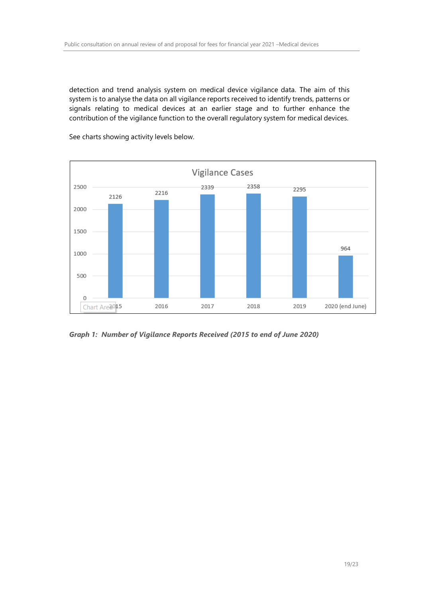detection and trend analysis system on medical device vigilance data. The aim of this system is to analyse the data on all vigilance reports received to identify trends, patterns or signals relating to medical devices at an earlier stage and to further enhance the contribution of the vigilance function to the overall regulatory system for medical devices.



See charts showing activity levels below.

*Graph 1: Number of Vigilance Reports Received (2015 to end of June 2020)*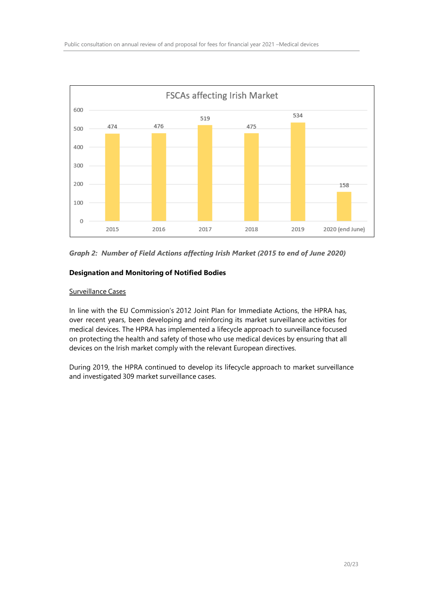

*Graph 2: Number of Field Actions affecting Irish Market (2015 to end of June 2020)*

## **Designation and Monitoring of Notified Bodies**

#### Surveillance Cases

In line with the EU Commission's 2012 Joint Plan for Immediate Actions, the HPRA has, over recent years, been developing and reinforcing its market surveillance activities for medical devices. The HPRA has implemented a lifecycle approach to surveillance focused on protecting the health and safety of those who use medical devices by ensuring that all devices on the Irish market comply with the relevant European directives.

During 2019, the HPRA continued to develop its lifecycle approach to market surveillance and investigated 309 market surveillance cases.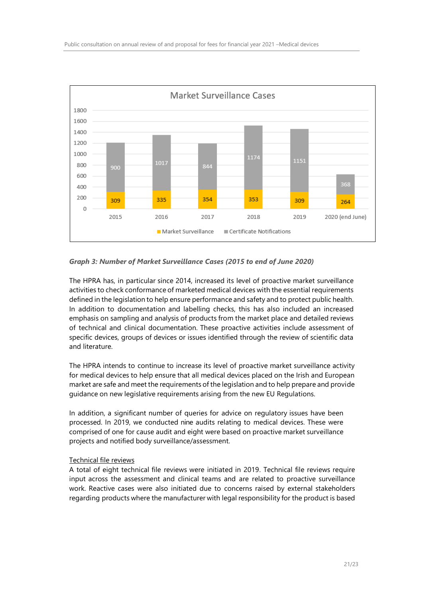

#### *Graph 3: Number of Market Surveillance Cases (2015 to end of June 2020)*

The HPRA has, in particular since 2014, increased its level of proactive market surveillance activities to check conformance of marketed medical devices with the essential requirements defined in the legislation to help ensure performance and safety and to protect public health. In addition to documentation and labelling checks, this has also included an increased emphasis on sampling and analysis of products from the market place and detailed reviews of technical and clinical documentation. These proactive activities include assessment of specific devices, groups of devices or issues identified through the review of scientific data and literature.

The HPRA intends to continue to increase its level of proactive market surveillance activity for medical devices to help ensure that all medical devices placed on the Irish and European market are safe and meet the requirements of the legislation and to help prepare and provide guidance on new legislative requirements arising from the new EU Regulations.

In addition, a significant number of queries for advice on regulatory issues have been processed. In 2019, we conducted nine audits relating to medical devices. These were comprised of one for cause audit and eight were based on proactive market surveillance projects and notified body surveillance/assessment.

#### Technical file reviews

A total of eight technical file reviews were initiated in 2019. Technical file reviews require input across the assessment and clinical teams and are related to proactive surveillance work. Reactive cases were also initiated due to concerns raised by external stakeholders regarding products where the manufacturer with legal responsibility for the product is based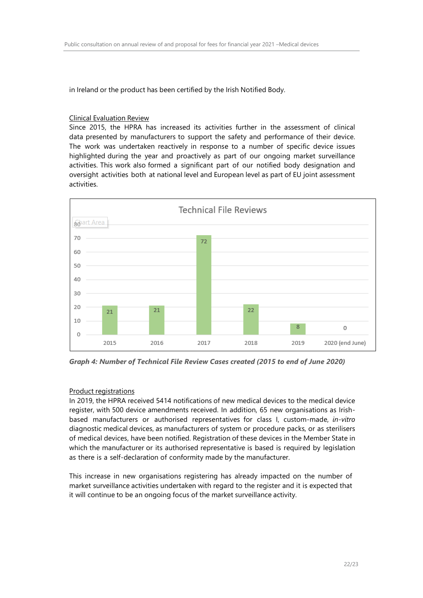in Ireland or the product has been certified by the Irish Notified Body.

### Clinical Evaluation Review

Since 2015, the HPRA has increased its activities further in the assessment of clinical data presented by manufacturers to support the safety and performance of their device. The work was undertaken reactively in response to a number of specific device issues highlighted during the year and proactively as part of our ongoing market surveillance activities. This work also formed a significant part of our notified body designation and oversight activities both at national level and European level as part of EU joint assessment activities.



*Graph 4: Number of Technical File Review Cases created (2015 to end of June 2020)*

## Product registrations

In 2019, the HPRA received 5414 notifications of new medical devices to the medical device register, with 500 device amendments received. In addition, 65 new organisations as Irishbased manufacturers or authorised representatives for class I, custom-made, *in-vitro* diagnostic medical devices, as manufacturers of system or procedure packs, or as sterilisers of medical devices, have been notified. Registration of these devices in the Member State in which the manufacturer or its authorised representative is based is required by legislation as there is a self-declaration of conformity made by the manufacturer.

This increase in new organisations registering has already impacted on the number of market surveillance activities undertaken with regard to the register and it is expected that it will continue to be an ongoing focus of the market surveillance activity.